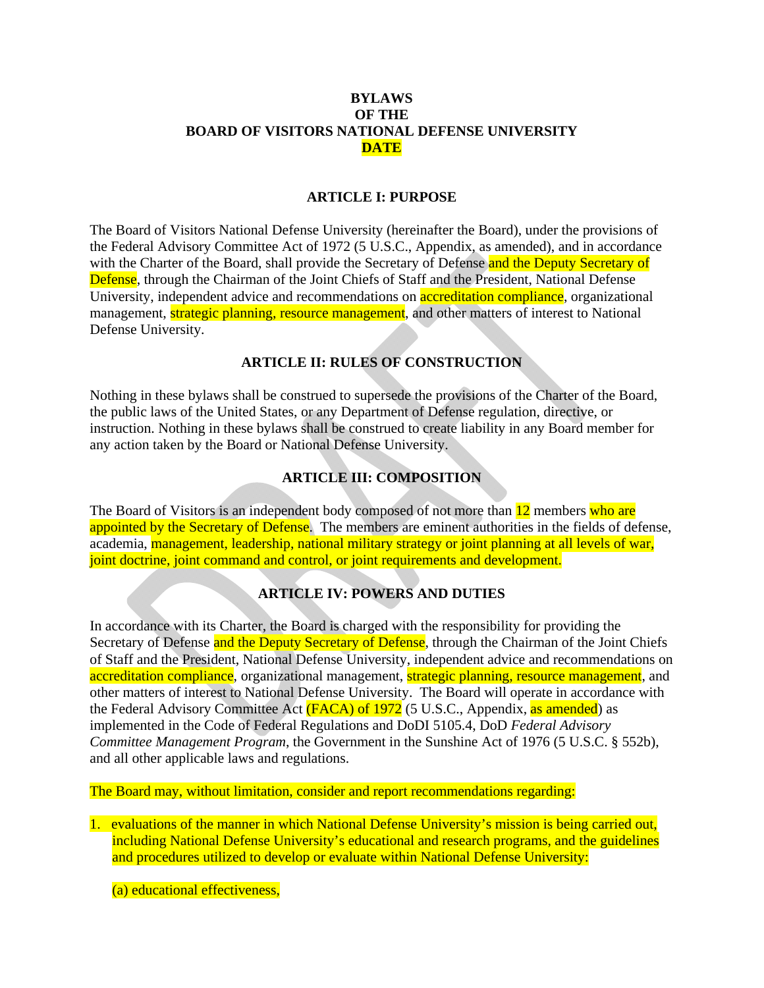### **BYLAWS OF THE BOARD OF VISITORS NATIONAL DEFENSE UNIVERSITY DATE**

#### **ARTICLE I: PURPOSE**

The Board of Visitors National Defense University (hereinafter the Board), under the provisions of the Federal Advisory Committee Act of 1972 (5 U.S.C., Appendix, as amended), and in accordance with the Charter of the Board, shall provide the Secretary of Defense and the Deputy Secretary of Defense, through the Chairman of the Joint Chiefs of Staff and the President, National Defense University, independent advice and recommendations on **accreditation compliance**, organizational management, **strategic planning, resource management**, and other matters of interest to National Defense University.

### **ARTICLE II: RULES OF CONSTRUCTION**

Nothing in these bylaws shall be construed to supersede the provisions of the Charter of the Board, the public laws of the United States, or any Department of Defense regulation, directive, or instruction. Nothing in these bylaws shall be construed to create liability in any Board member for any action taken by the Board or National Defense University.

### **ARTICLE III: COMPOSITION**

The Board of Visitors is an independent body composed of not more than **12** members who are appointed by the Secretary of Defense. The members are eminent authorities in the fields of defense, academia, management, leadership, national military strategy or joint planning at all levels of war, joint doctrine, joint command and control, or joint requirements and development.

### **ARTICLE IV: POWERS AND DUTIES**

In accordance with its Charter, the Board is charged with the responsibility for providing the Secretary of Defense and the Deputy Secretary of Defense, through the Chairman of the Joint Chiefs of Staff and the President, National Defense University, independent advice and recommendations on accreditation compliance, organizational management, strategic planning, resource management, and other matters of interest to National Defense University. The Board will operate in accordance with the Federal Advisory Committee Act (FACA) of 1972 (5 U.S.C., Appendix, as amended) as implemented in the Code of Federal Regulations and DoDI 5105.4, DoD *Federal Advisory Committee Management Program*, the Government in the Sunshine Act of 1976 (5 U.S.C. § 552b), and all other applicable laws and regulations.

The Board may, without limitation, consider and report recommendations regarding:

1. evaluations of the manner in which National Defense University's mission is being carried out, including National Defense University's educational and research programs, and the guidelines and procedures utilized to develop or evaluate within National Defense University:

(a) educational effectiveness,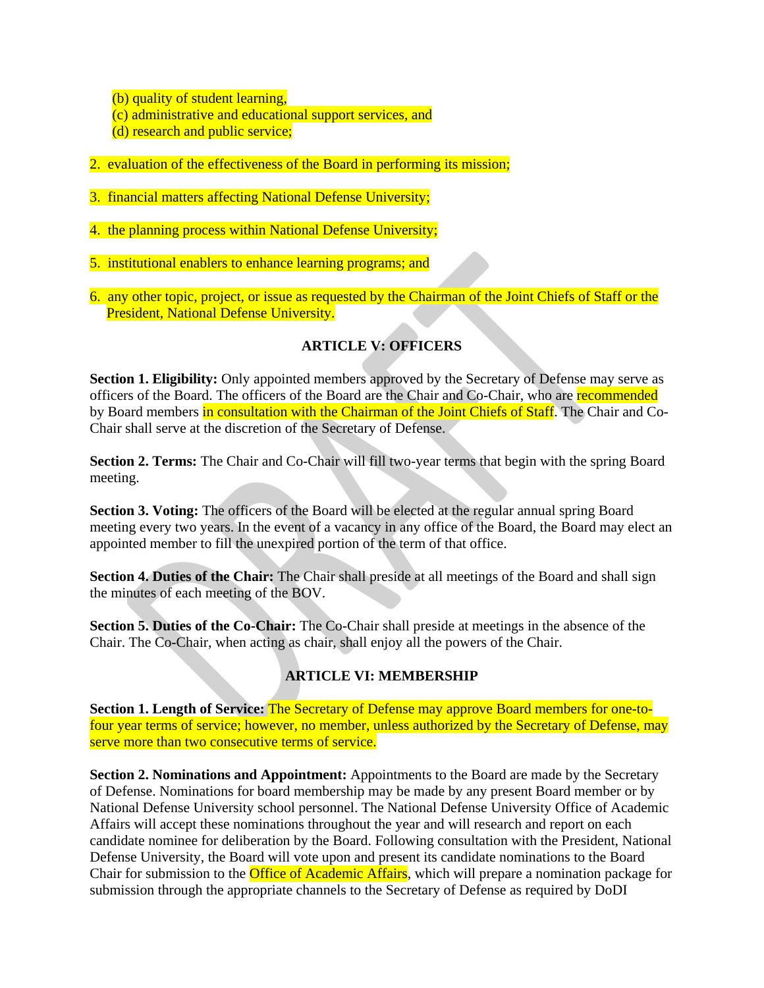(b) quality of student learning,

- (c) administrative and educational support services, and
- (d) research and public service;
- 2. evaluation of the effectiveness of the Board in performing its mission;
- 3. financial matters affecting National Defense University;
- 4. the planning process within National Defense University;
- 5. institutional enablers to enhance learning programs; and
- 6. any other topic, project, or issue as requested by the Chairman of the Joint Chiefs of Staff or the President, National Defense University.

# **ARTICLE V: OFFICERS**

**Section 1. Eligibility:** Only appointed members approved by the Secretary of Defense may serve as officers of the Board. The officers of the Board are the Chair and Co-Chair, who are recommended by Board members in consultation with the Chairman of the Joint Chiefs of Staff. The Chair and Co-Chair shall serve at the discretion of the Secretary of Defense.

**Section 2. Terms:** The Chair and Co-Chair will fill two-year terms that begin with the spring Board meeting.

**Section 3. Voting:** The officers of the Board will be elected at the regular annual spring Board meeting every two years. In the event of a vacancy in any office of the Board, the Board may elect an appointed member to fill the unexpired portion of the term of that office.

**Section 4. Duties of the Chair:** The Chair shall preside at all meetings of the Board and shall sign the minutes of each meeting of the BOV.

**Section 5. Duties of the Co-Chair:** The Co-Chair shall preside at meetings in the absence of the Chair. The Co-Chair, when acting as chair, shall enjoy all the powers of the Chair.

## **ARTICLE VI: MEMBERSHIP**

**Section 1. Length of Service:** The Secretary of Defense may approve Board members for one-tofour year terms of service; however, no member, unless authorized by the Secretary of Defense, may serve more than two consecutive terms of service.

**Section 2. Nominations and Appointment:** Appointments to the Board are made by the Secretary of Defense. Nominations for board membership may be made by any present Board member or by National Defense University school personnel. The National Defense University Office of Academic Affairs will accept these nominations throughout the year and will research and report on each candidate nominee for deliberation by the Board. Following consultation with the President, National Defense University, the Board will vote upon and present its candidate nominations to the Board Chair for submission to the **Office of Academic Affairs**, which will prepare a nomination package for submission through the appropriate channels to the Secretary of Defense as required by DoDI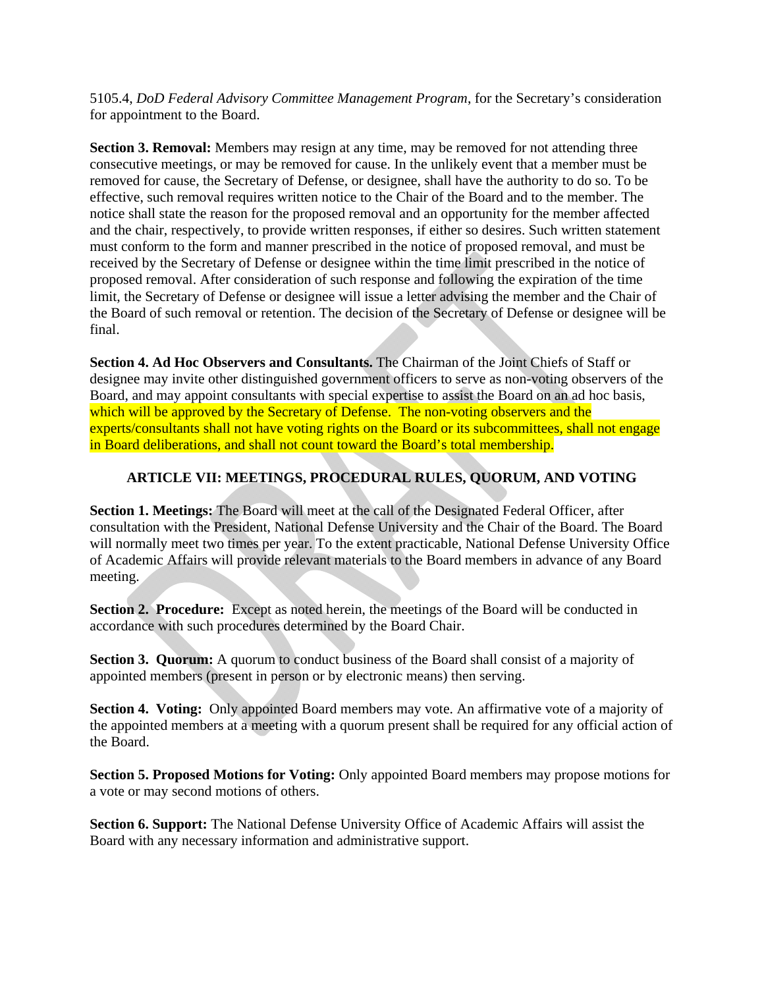5105.4, *DoD Federal Advisory Committee Management Program*, for the Secretary's consideration for appointment to the Board.

**Section 3. Removal:** Members may resign at any time, may be removed for not attending three consecutive meetings, or may be removed for cause. In the unlikely event that a member must be removed for cause, the Secretary of Defense, or designee, shall have the authority to do so. To be effective, such removal requires written notice to the Chair of the Board and to the member. The notice shall state the reason for the proposed removal and an opportunity for the member affected and the chair, respectively, to provide written responses, if either so desires. Such written statement must conform to the form and manner prescribed in the notice of proposed removal, and must be received by the Secretary of Defense or designee within the time limit prescribed in the notice of proposed removal. After consideration of such response and following the expiration of the time limit, the Secretary of Defense or designee will issue a letter advising the member and the Chair of the Board of such removal or retention. The decision of the Secretary of Defense or designee will be final.

**Section 4. Ad Hoc Observers and Consultants.** The Chairman of the Joint Chiefs of Staff or designee may invite other distinguished government officers to serve as non-voting observers of the Board, and may appoint consultants with special expertise to assist the Board on an ad hoc basis, which will be approved by the Secretary of Defense. The non-voting observers and the experts/consultants shall not have voting rights on the Board or its subcommittees, shall not engage in Board deliberations, and shall not count toward the Board's total membership.

## **ARTICLE VII: MEETINGS, PROCEDURAL RULES, QUORUM, AND VOTING**

**Section 1. Meetings:** The Board will meet at the call of the Designated Federal Officer, after consultation with the President, National Defense University and the Chair of the Board. The Board will normally meet two times per year. To the extent practicable, National Defense University Office of Academic Affairs will provide relevant materials to the Board members in advance of any Board meeting.

**Section 2. Procedure:** Except as noted herein, the meetings of the Board will be conducted in accordance with such procedures determined by the Board Chair.

**Section 3. Quorum:** A quorum to conduct business of the Board shall consist of a majority of appointed members (present in person or by electronic means) then serving.

**Section 4. Voting:** Only appointed Board members may vote. An affirmative vote of a majority of the appointed members at a meeting with a quorum present shall be required for any official action of the Board.

**Section 5. Proposed Motions for Voting:** Only appointed Board members may propose motions for a vote or may second motions of others.

**Section 6. Support:** The National Defense University Office of Academic Affairs will assist the Board with any necessary information and administrative support.